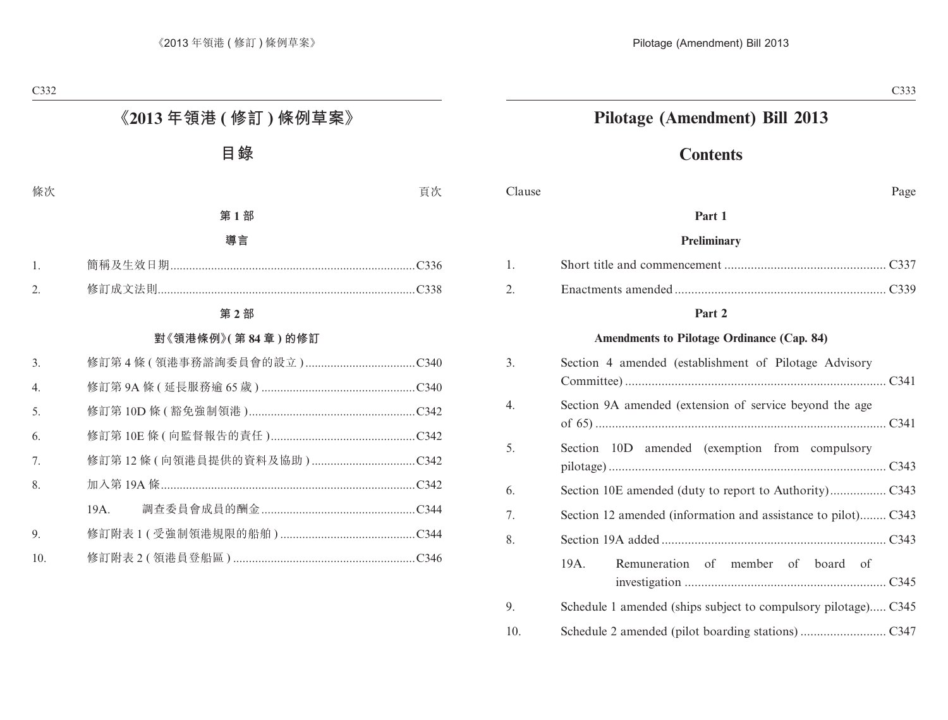# **Pilotage (Amendment) Bill 2013**

## **Contents**

Clause Page

### **Part 1**

#### **Preliminary**

#### **Part 2**

#### **Amendments to Pilotage Ordinance (Cap. 84)**

| 3.               | Section 4 amended (establishment of Pilotage Advisory          |
|------------------|----------------------------------------------------------------|
| $\overline{4}$ . | Section 9A amended (extension of service beyond the age        |
| 5.               | Section 10D amended (exemption from compulsory                 |
| 6.               |                                                                |
| 7.               | Section 12 amended (information and assistance to pilot) C343  |
| 8.               |                                                                |
|                  | Remuneration of member of board of<br>19A.                     |
| 9.               | Schedule 1 amended (ships subject to compulsory pilotage) C345 |
| 10.              |                                                                |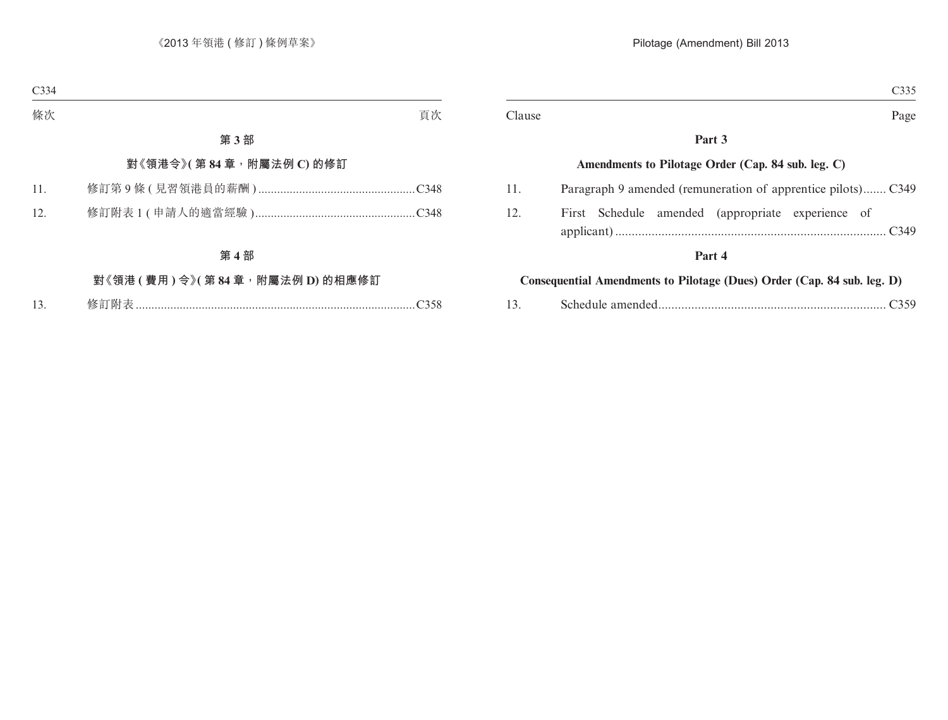|                                                                         | C <sub>335</sub>                                             |  |  |  |  |  |
|-------------------------------------------------------------------------|--------------------------------------------------------------|--|--|--|--|--|
| Clause                                                                  | Page                                                         |  |  |  |  |  |
|                                                                         | Part 3                                                       |  |  |  |  |  |
|                                                                         | Amendments to Pilotage Order (Cap. 84 sub. leg. C)           |  |  |  |  |  |
| 11.                                                                     | Paragraph 9 amended (remuneration of apprentice pilots) C349 |  |  |  |  |  |
| 12.                                                                     | First Schedule amended (appropriate experience of            |  |  |  |  |  |
|                                                                         | Part 4                                                       |  |  |  |  |  |
| Consequential Amendments to Pilotage (Dues) Order (Cap. 84 sub. leg. D) |                                                              |  |  |  |  |  |

13. Schedule amended..................................................................... C359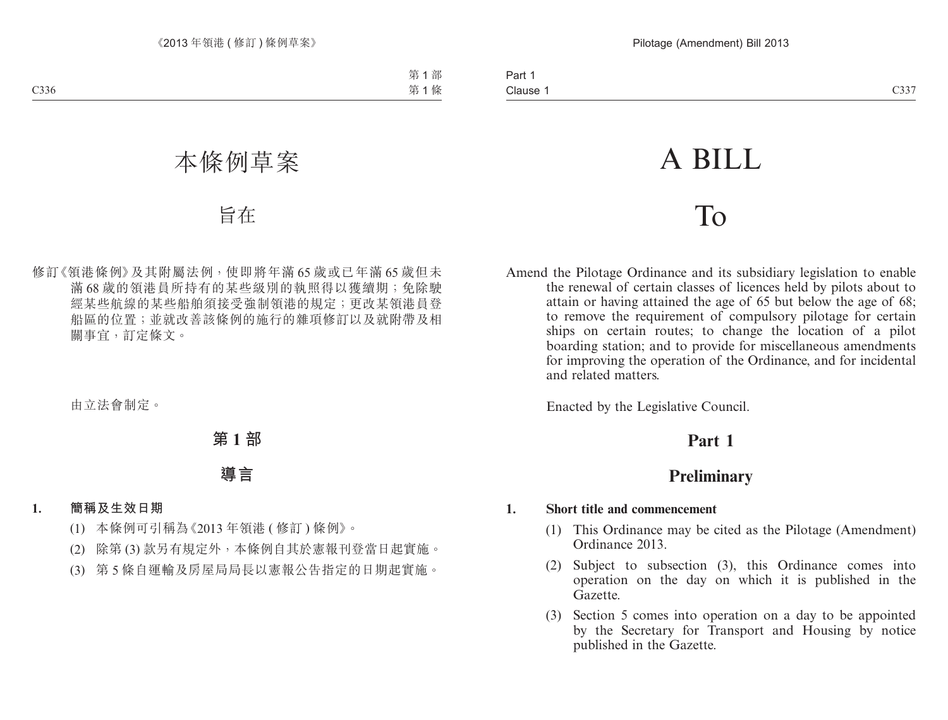# A BILL

# To

Amend the Pilotage Ordinance and its subsidiary legislation to enable the renewal of certain classes of licences held by pilots about to attain or having attained the age of 65 but below the age of 68; to remove the requirement of compulsory pilotage for certain ships on certain routes; to change the location of a pilot boarding station; and to provide for miscellaneous amendments for improving the operation of the Ordinance, and for incidental and related matters.

Enacted by the Legislative Council.

# **Part 1**

# **Preliminary**

### **1. Short title and commencement**

- (1) This Ordinance may be cited as the Pilotage (Amendment) Ordinance 2013.
- (2) Subject to subsection (3), this Ordinance comes into operation on the day on which it is published in the Gazette.
- (3) Section 5 comes into operation on a day to be appointed by the Secretary for Transport and Housing by notice published in the Gazette.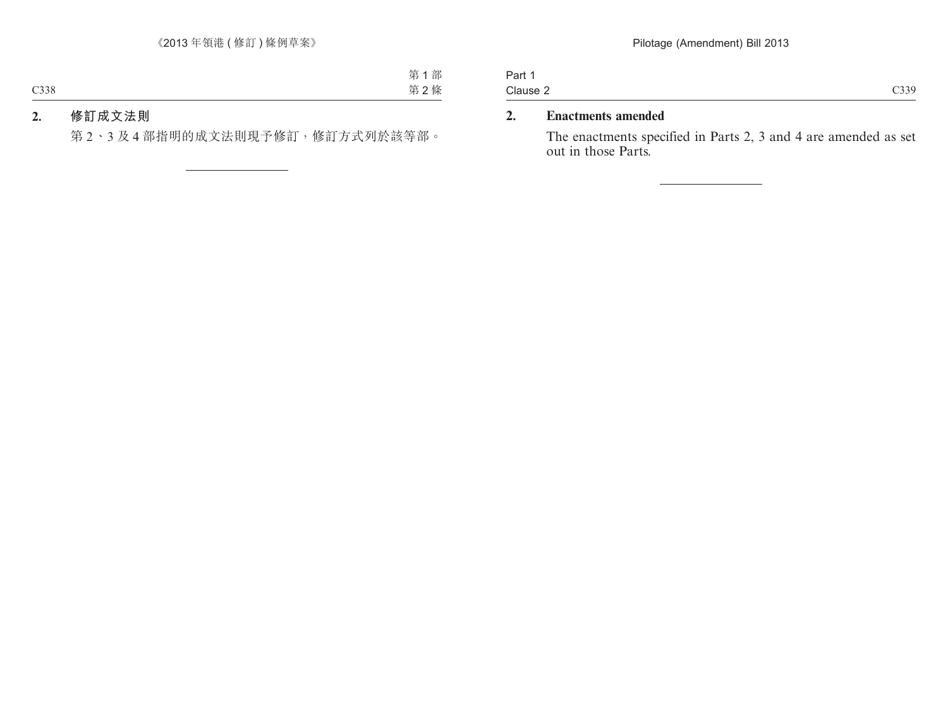| Part 1   |  |
|----------|--|
| Clause 2 |  |

### **2. Enactments amended**

The enactments specified in Parts 2, 3 and 4 are amended as set out in those Parts.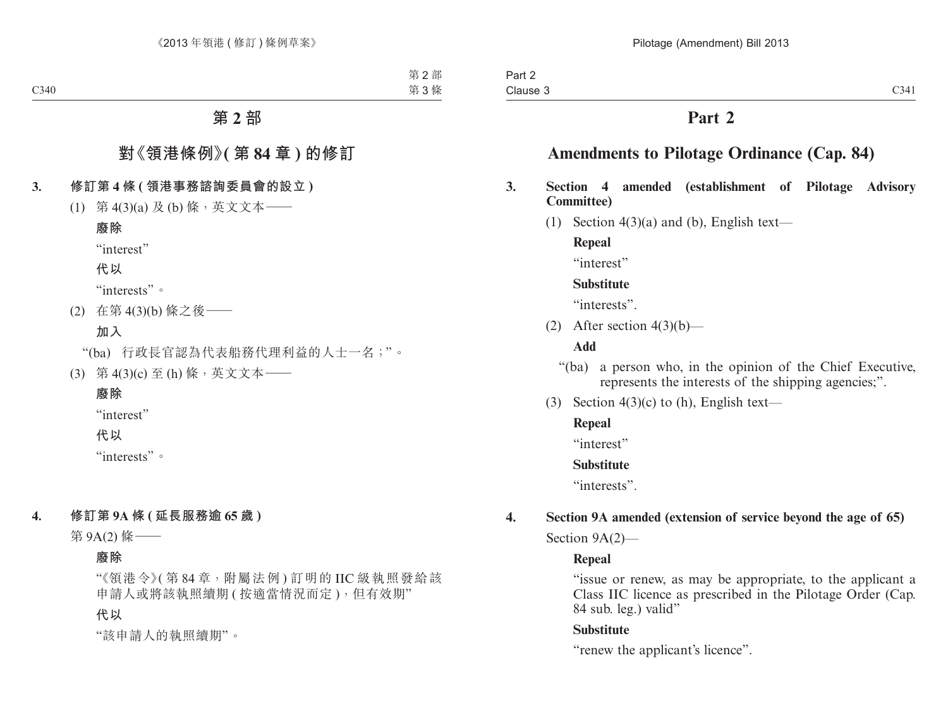### **Part 2**

# **Amendments to Pilotage Ordinance (Cap. 84)**

- **3. Section 4 amended (establishment of Pilotage Advisory Committee)**
	- (1) Section  $4(3)(a)$  and (b), English text—

**Repeal**

"interest"

### **Substitute**

"interests".

(2) After section  $4(3)(b)$ —

### **Add**

- "(ba) a person who, in the opinion of the Chief Executive, represents the interests of the shipping agencies;".
- (3) Section  $4(3)(c)$  to (h), English text—

### **Repeal**

"interest"

### **Substitute**

"interests".

# **4. Section 9A amended (extension of service beyond the age of 65)**

Section 9A(2)—

### **Repeal**

"issue or renew, as may be appropriate, to the applicant a Class IIC licence as prescribed in the Pilotage Order (Cap. 84 sub. leg.) valid"

### **Substitute**

"renew the applicant's licence".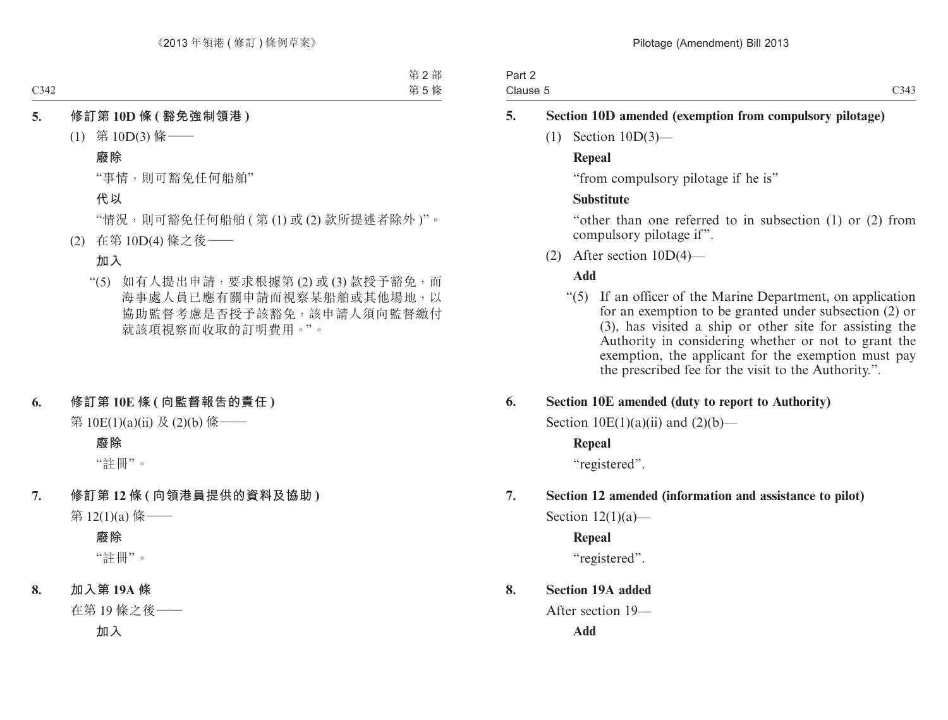| Part 2   |                  |
|----------|------------------|
| Clause 5 | C <sub>343</sub> |

### **5. Section 10D amended (exemption from compulsory pilotage)**

(1) Section 10D(3)—

### **Repeal**

"from compulsory pilotage if he is"

### **Substitute**

"other than one referred to in subsection (1) or (2) from compulsory pilotage if".

(2) After section 10D(4)—

### **Add**

"(5) If an officer of the Marine Department, on application for an exemption to be granted under subsection (2) or (3), has visited a ship or other site for assisting the Authority in considering whether or not to grant the exemption, the applicant for the exemption must pay the prescribed fee for the visit to the Authority.".

### **6. Section 10E amended (duty to report to Authority)**

Section  $10E(1)(a)(ii)$  and  $(2)(b)$ —

### **Repeal**

"registered".

### **7. Section 12 amended (information and assistance to pilot)**

Section  $12(1)(a)$ —

**Repeal** "registered".

### **8. Section 19A added**

After section 19— **Add**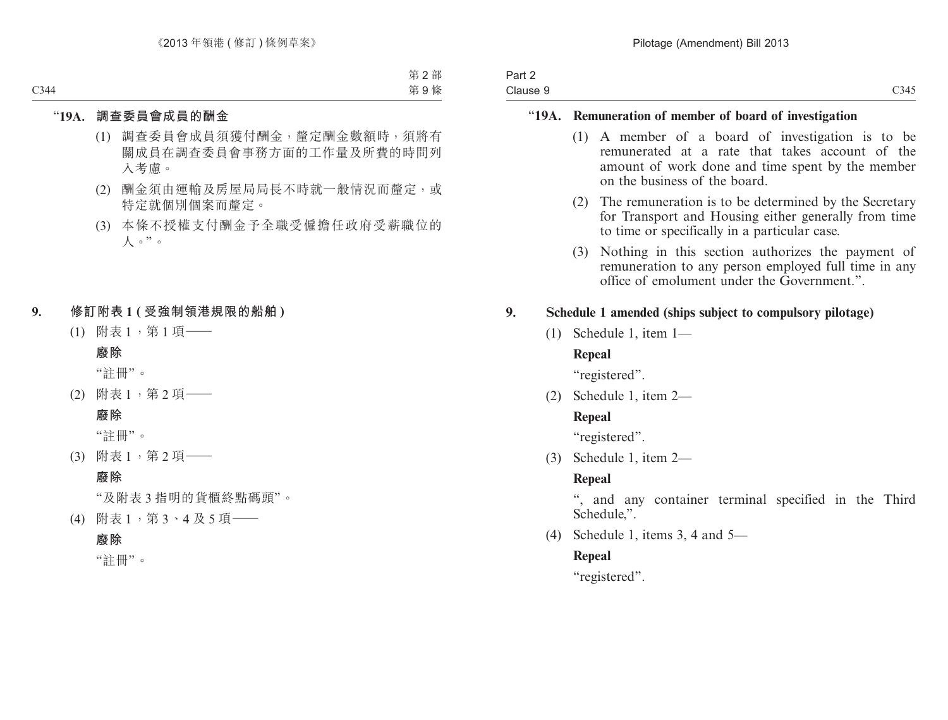|                              | Part 2<br>Clause 9 | C345                                                                                                                                                                                         |  |  |  |
|------------------------------|--------------------|----------------------------------------------------------------------------------------------------------------------------------------------------------------------------------------------|--|--|--|
|                              |                    | "19A. Remuneration of member of board of investigation                                                                                                                                       |  |  |  |
|                              |                    | (1)<br>A member of a board of investigation is to be<br>remunerated at a rate that takes account of the<br>amount of work done and time spent by the member<br>on the business of the board. |  |  |  |
|                              |                    | (2) The remuneration is to be determined by the Secretary<br>for Transport and Housing either generally from time<br>to time or specifically in a particular case.                           |  |  |  |
|                              |                    | Nothing in this section authorizes the payment of<br>(3)<br>remuneration to any person employed full time in any<br>office of emolument under the Government.".                              |  |  |  |
| 9.                           |                    | Schedule 1 amended (ships subject to compulsory pilotage)                                                                                                                                    |  |  |  |
| (1)<br>Schedule 1, item $1-$ |                    |                                                                                                                                                                                              |  |  |  |
|                              | Repeal             |                                                                                                                                                                                              |  |  |  |
|                              |                    | "registered".                                                                                                                                                                                |  |  |  |
|                              | (2)                | Schedule 1, item 2-                                                                                                                                                                          |  |  |  |
|                              |                    | Repeal                                                                                                                                                                                       |  |  |  |
|                              |                    | "registered".                                                                                                                                                                                |  |  |  |
|                              | (3)                | Schedule 1, item 2-                                                                                                                                                                          |  |  |  |
|                              |                    | <b>Repeal</b>                                                                                                                                                                                |  |  |  |
|                              |                    | ", and any container terminal specified in the Third<br>Schedule,".                                                                                                                          |  |  |  |
|                              | (4)                | Schedule 1, items 3, 4 and $5-$                                                                                                                                                              |  |  |  |
|                              |                    | Repeal                                                                                                                                                                                       |  |  |  |
|                              |                    | "registered".                                                                                                                                                                                |  |  |  |
|                              |                    |                                                                                                                                                                                              |  |  |  |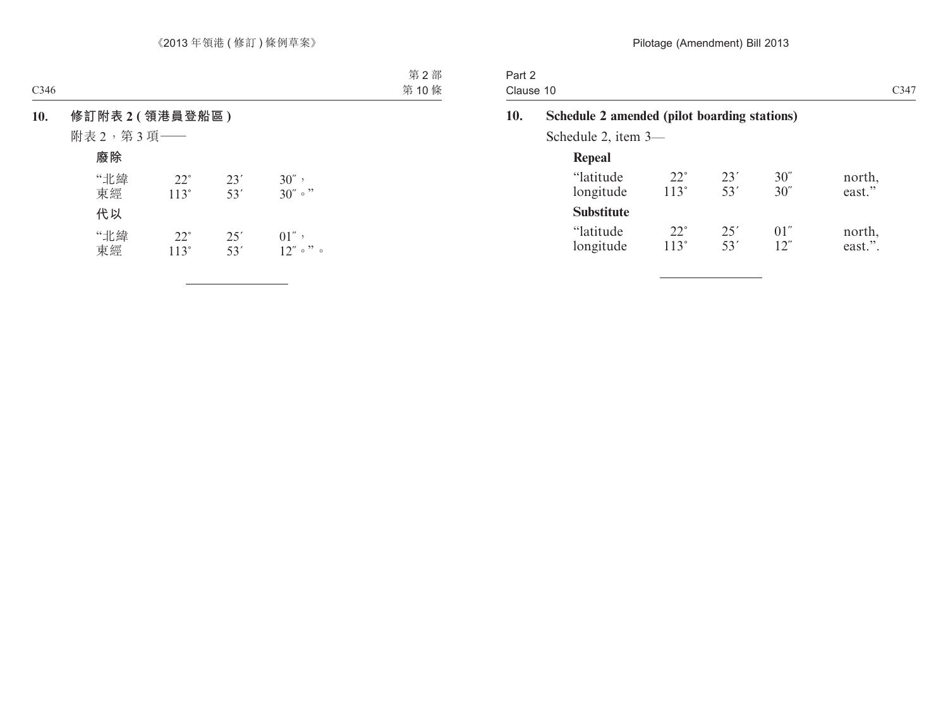| Part 2<br>Clause 10 |                                                                                               |                                          |                   |                     |                             |
|---------------------|-----------------------------------------------------------------------------------------------|------------------------------------------|-------------------|---------------------|-----------------------------|
| 10.                 | Schedule 2 amended (pilot boarding stations)<br>Schedule 2, item $3-$<br>Repeal<br>"latitude" | $22^{\circ}$                             | 23'               | 30''                | north,                      |
|                     | longitude<br><b>Substitute</b><br>"latitude<br>longitude                                      | $113^\circ$<br>$22^\circ$<br>$113^\circ$ | 53'<br>25'<br>53' | 30''<br>01''<br>12" | east."<br>north,<br>east.". |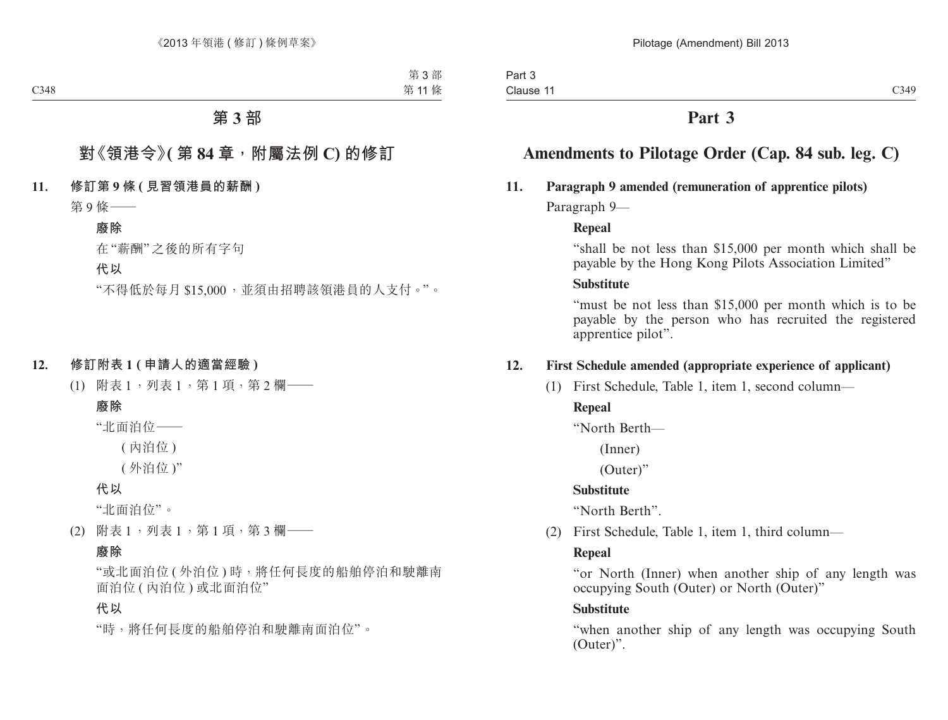### **Part 3**

# **Amendments to Pilotage Order (Cap. 84 sub. leg. C)**

### **11. Paragraph 9 amended (remuneration of apprentice pilots)**

Paragraph 9—

### **Repeal**

"shall be not less than \$15,000 per month which shall be payable by the Hong Kong Pilots Association Limited"

### **Substitute**

"must be not less than \$15,000 per month which is to be payable by the person who has recruited the registered apprentice pilot".

### **12. First Schedule amended (appropriate experience of applicant)**

(1) First Schedule, Table 1, item 1, second column—

### **Repeal**

"North Berth—

(Inner)

(Outer)"

### **Substitute**

"North Berth".

(2) First Schedule, Table 1, item 1, third column—

### **Repeal**

"or North (Inner) when another ship of any length was occupying South (Outer) or North (Outer)"

### **Substitute**

"when another ship of any length was occupying South (Outer)".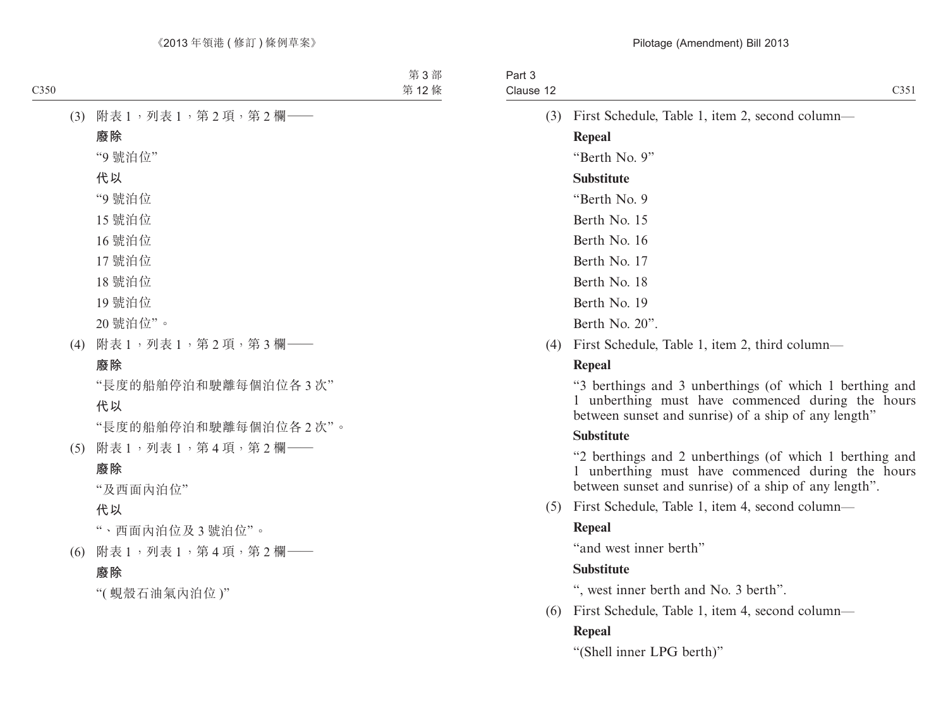| Part 3<br>Clause 12 |     |                                                 | C <sub>351</sub> |
|---------------------|-----|-------------------------------------------------|------------------|
|                     | (3) | First Schedule, Table 1, item 2, second column— |                  |
|                     |     | <b>Repeal</b>                                   |                  |
|                     |     | "Berth No. 9"                                   |                  |
|                     |     | <b>Substitute</b>                               |                  |
|                     |     | "Berth No. 9"                                   |                  |
|                     |     | Berth No. 15                                    |                  |
|                     |     | Berth No. 16                                    |                  |
|                     |     | Berth No. 17                                    |                  |
|                     |     | Berth No. 18                                    |                  |
|                     |     | Berth No. 19                                    |                  |
|                     |     | Berth No. 20".                                  |                  |
|                     |     |                                                 |                  |

(4) First Schedule, Table 1, item 2, third column—

### **Repeal**

"3 berthings and 3 unberthings (of which 1 berthing and 1 unberthing must have commenced during the hours between sunset and sunrise) of a ship of any length"

### **Substitute**

"2 berthings and 2 unberthings (of which 1 berthing and 1 unberthing must have commenced during the hours between sunset and sunrise) of a ship of any length".

(5) First Schedule, Table 1, item 4, second column—

### **Repeal**

"and west inner berth"

### **Substitute**

", west inner berth and No. 3 berth".

(6) First Schedule, Table 1, item 4, second column— **Repeal**

"(Shell inner LPG berth)"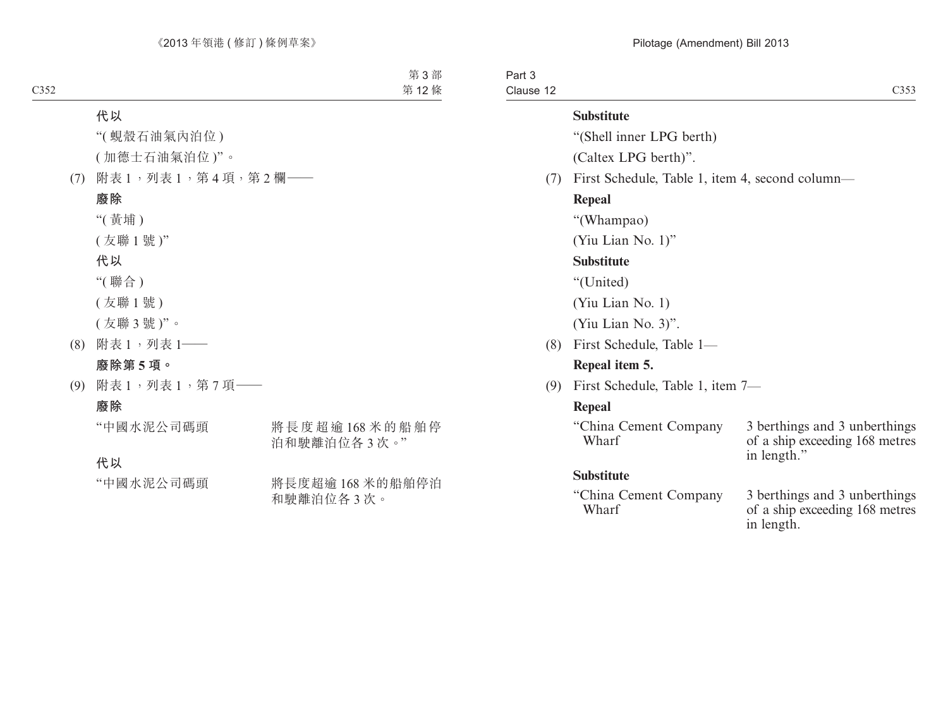Part 3 Clause 12

#### **Substitute**

"(Shell inner LPG berth) (Caltex LPG berth)".

(7) First Schedule, Table 1, item 4, second column—

#### **Repeal**

- "(Whampao)
- (Yiu Lian No. 1)"

#### **Substitute**

- "(United)
- (Yiu Lian No. 1)
- (Yiu Lian No. 3)".
- (8) First Schedule, Table 1—

### **Repeal item 5.**

(9) First Schedule, Table 1, item 7—

#### **Repeal**

"China Cement Company Wharf

3 berthings and 3 unberthings of a ship exceeding 168 metres in length."

#### **Substitute**

"China Cement Company Wharf

3 berthings and 3 unberthings of a ship exceeding 168 metres in length.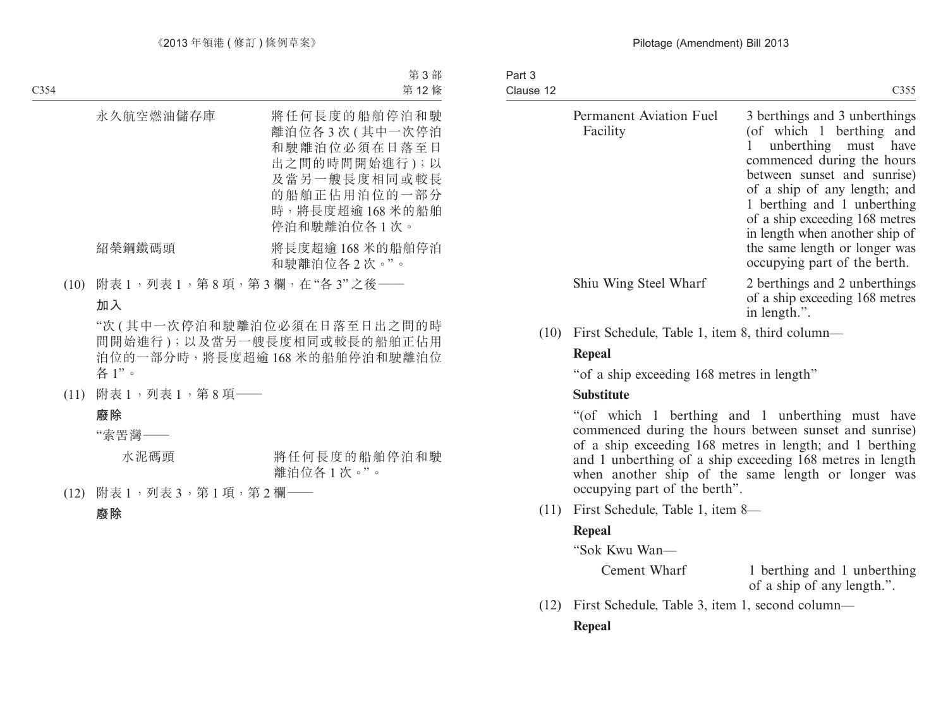| Permanent Aviation Fuel<br>Facility | 3 berthings and 3 unberthings<br>(of which 1 berthing and<br>unberthing must have<br>commenced during the hours<br>between sunset and sunrise)<br>of a ship of any length; and<br>1 berthing and 1 unberthing<br>of a ship exceeding 168 metres<br>in length when another ship of<br>the same length or longer was<br>occupying part of the berth. |
|-------------------------------------|----------------------------------------------------------------------------------------------------------------------------------------------------------------------------------------------------------------------------------------------------------------------------------------------------------------------------------------------------|
| Shiu Wing Steel Wharf               | 2 berthings and 2 unberthings<br>of a ship exceeding 168 metres<br>in length.".                                                                                                                                                                                                                                                                    |
|                                     |                                                                                                                                                                                                                                                                                                                                                    |

(10) First Schedule, Table 1, item 8, third column—

### **Repeal**

"of a ship exceeding 168 metres in length"

### **Substitute**

"(of which 1 berthing and 1 unberthing must have commenced during the hours between sunset and sunrise) of a ship exceeding 168 metres in length; and 1 berthing and 1 unberthing of a ship exceeding 168 metres in length when another ship of the same length or longer was occupying part of the berth".

(11) First Schedule, Table 1, item 8—

### **Repeal**

"Sok Kwu Wan—

Cement Wharf 1 berthing and 1 unberthing of a ship of any length.".

(12) First Schedule, Table 3, item 1, second column— **Repeal**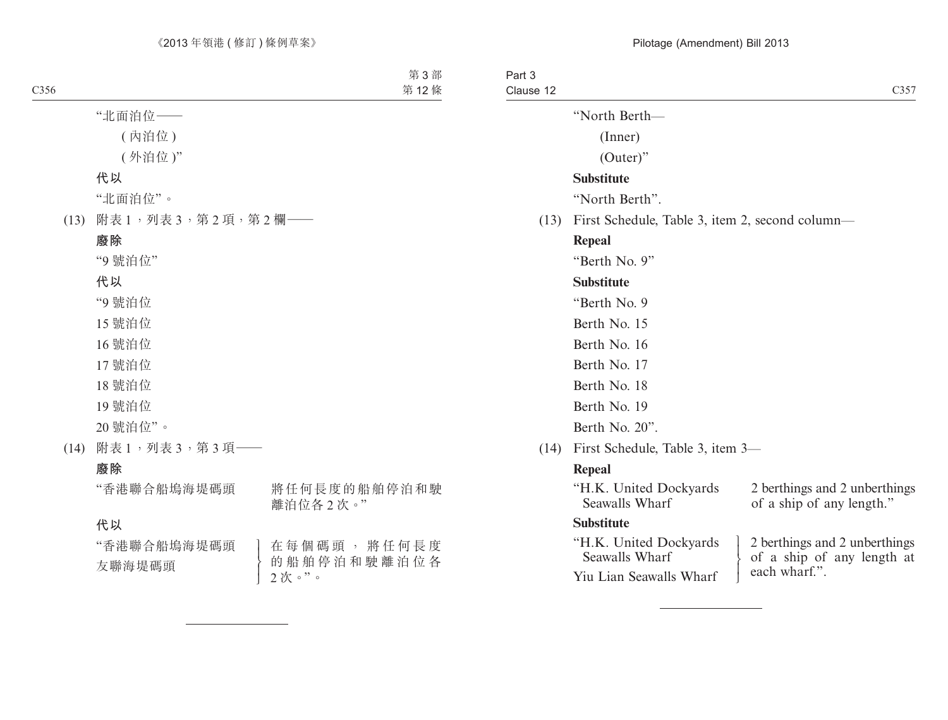| Part 3<br>Clause 12 |                                                 |  |                                                             | C <sub>357</sub> |  |
|---------------------|-------------------------------------------------|--|-------------------------------------------------------------|------------------|--|
|                     | "North Berth-                                   |  |                                                             |                  |  |
|                     | (Inner)                                         |  |                                                             |                  |  |
|                     | (Outer)"                                        |  |                                                             |                  |  |
|                     | <b>Substitute</b>                               |  |                                                             |                  |  |
|                     | "North Berth".                                  |  |                                                             |                  |  |
| (13)                | First Schedule, Table 3, item 2, second column— |  |                                                             |                  |  |
|                     | <b>Repeal</b>                                   |  |                                                             |                  |  |
|                     | "Berth No. 9"                                   |  |                                                             |                  |  |
|                     | <b>Substitute</b>                               |  |                                                             |                  |  |
|                     | "Berth No. 9                                    |  |                                                             |                  |  |
|                     | Berth No. 15                                    |  |                                                             |                  |  |
|                     | Berth No. 16                                    |  |                                                             |                  |  |
|                     | Berth No. 17                                    |  |                                                             |                  |  |
|                     | Berth No. 18                                    |  |                                                             |                  |  |
|                     | Berth No. 19                                    |  |                                                             |                  |  |
|                     | Berth No. 20".                                  |  |                                                             |                  |  |
| (14)                | First Schedule, Table 3, item 3—                |  |                                                             |                  |  |
|                     | <b>Repeal</b>                                   |  |                                                             |                  |  |
|                     | "H.K. United Dockyards<br>Seawalls Wharf        |  | 2 berthings and 2 unberthings<br>of a ship of any length."  |                  |  |
|                     | <b>Substitute</b>                               |  |                                                             |                  |  |
|                     | "H.K. United Dockyards<br>Seawalls Wharf        |  | 2 berthings and 2 unberthings<br>of a ship of any length at |                  |  |
|                     | Yiu Lian Seawalls Wharf                         |  | each wharf.".                                               |                  |  |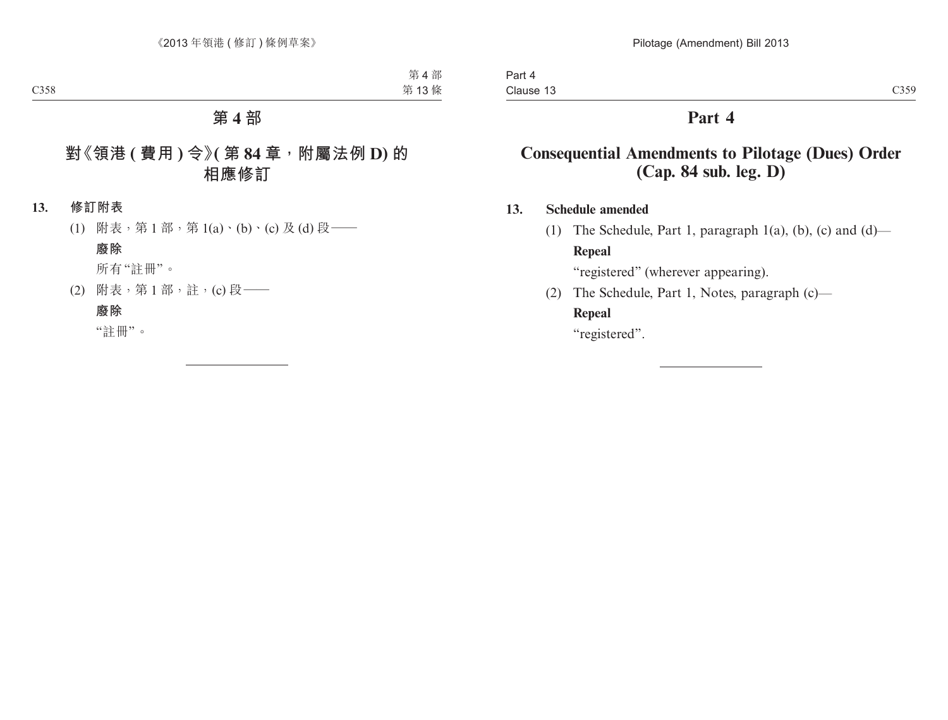## **Part 4**

## **Consequential Amendments to Pilotage (Dues) Order (Cap. 84 sub. leg. D)**

### **13. Schedule amended**

(1) The Schedule, Part 1, paragraph  $1(a)$ , (b), (c) and  $(d)$ — **Repeal**

"registered" (wherever appearing).

(2) The Schedule, Part 1, Notes, paragraph (c)— **Repeal**

"registered".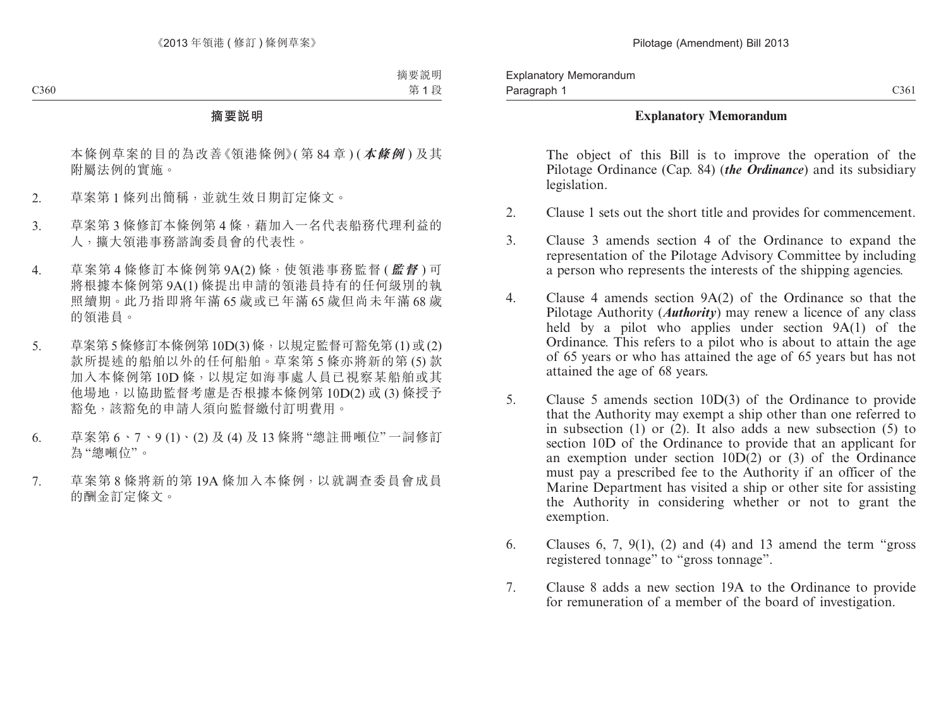The object of this Bill is to improve the operation of the Pilotage Ordinance (Cap. 84) (*the Ordinance*) and its subsidiary legislation.

- 2. Clause 1 sets out the short title and provides for commencement.
- 3. Clause 3 amends section 4 of the Ordinance to expand the representation of the Pilotage Advisory Committee by including a person who represents the interests of the shipping agencies.
- 4. Clause 4 amends section 9A(2) of the Ordinance so that the Pilotage Authority (*Authority*) may renew a licence of any class held by a pilot who applies under section 9A(1) of the Ordinance. This refers to a pilot who is about to attain the age of 65 years or who has attained the age of 65 years but has not attained the age of 68 years.
- 5. Clause 5 amends section 10D(3) of the Ordinance to provide that the Authority may exempt a ship other than one referred to in subsection (1) or (2). It also adds a new subsection (5) to section 10D of the Ordinance to provide that an applicant for an exemption under section  $10D(2)$  or (3) of the Ordinance must pay a prescribed fee to the Authority if an officer of the Marine Department has visited a ship or other site for assisting the Authority in considering whether or not to grant the exemption.
- 6. Clauses 6, 7, 9(1), (2) and (4) and 13 amend the term "gross registered tonnage" to "gross tonnage".
- 7. Clause 8 adds a new section 19A to the Ordinance to provide for remuneration of a member of the board of investigation.